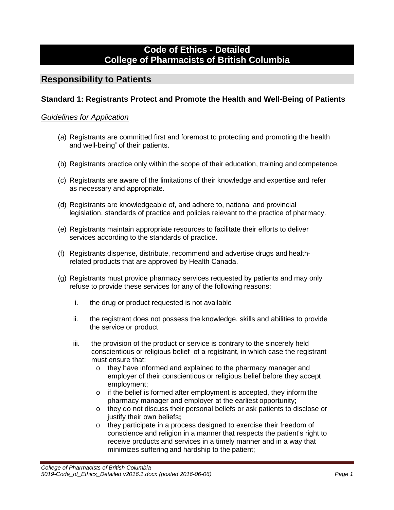# **Code of Ethics - Detailed College of Pharmacists of British Columbia**

# **Responsibility to Patients**

## **Standard 1: Registrants Protect and Promote the Health and Well-Being of Patients**

- (a) Registrants are committed first and foremost to protecting and promoting the health and well-being\* of their patients.
- (b) Registrants practice only within the scope of their education, training and competence.
- (c) Registrants are aware of the limitations of their knowledge and expertise and refer as necessary and appropriate.
- (d) Registrants are knowledgeable of, and adhere to, national and provincial legislation, standards of practice and policies relevant to the practice of pharmacy.
- (e) Registrants maintain appropriate resources to facilitate their efforts to deliver services according to the standards of practice.
- (f) Registrants dispense, distribute, recommend and advertise drugs and healthrelated products that are approved by Health Canada.
- (g) Registrants must provide pharmacy services requested by patients and may only refuse to provide these services for any of the following reasons:
	- i. the drug or product requested is not available
	- ii. the registrant does not possess the knowledge, skills and abilities to provide the service or product
	- iii. the provision of the product or service is contrary to the sincerely held conscientious or religious belief of a registrant, in which case the registrant must ensure that:
		- o they have informed and explained to the pharmacy manager and employer of their conscientious or religious belief before they accept employment;
		- o if the belief is formed after employment is accepted, they inform the pharmacy manager and employer at the earliest opportunity;
		- o they do not discuss their personal beliefs or ask patients to disclose or justify their own beliefs**;**
		- o they participate in a process designed to exercise their freedom of conscience and religion in a manner that respects the patient's right to receive products and services in a timely manner and in a way that minimizes suffering and hardship to the patient;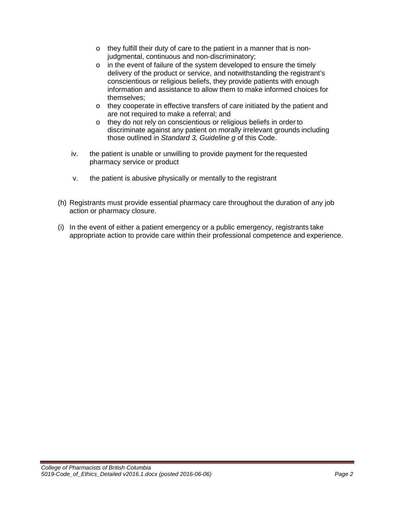- o they fulfill their duty of care to the patient in a manner that is nonjudgmental, continuous and non-discriminatory;
- o in the event of failure of the system developed to ensure the timely delivery of the product or service, and notwithstanding the registrant's conscientious or religious beliefs, they provide patients with enough information and assistance to allow them to make informed choices for themselves;
- o they cooperate in effective transfers of care initiated by the patient and are not required to make a referral; and
- o they do not rely on conscientious or religious beliefs in order to discriminate against any patient on morally irrelevant grounds including those outlined in *Standard 3, Guideline g* of this Code.
- iv. the patient is unable or unwilling to provide payment for the requested pharmacy service or product
- v. the patient is abusive physically or mentally to the registrant
- (h) Registrants must provide essential pharmacy care throughout the duration of any job action or pharmacy closure.
- (i) In the event of either a patient emergency or a public emergency, registrants take appropriate action to provide care within their professional competence and experience.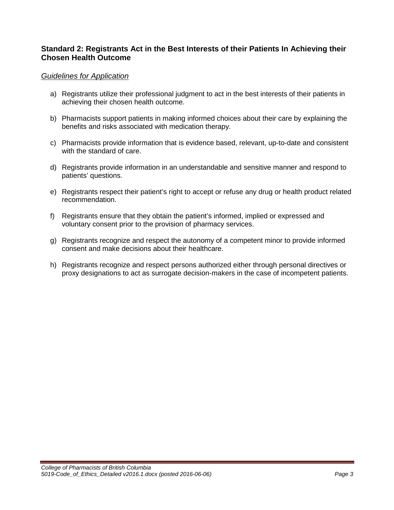## **Standard 2: Registrants Act in the Best Interests of their Patients In Achieving their Chosen Health Outcome**

- a) Registrants utilize their professional judgment to act in the best interests of their patients in achieving their chosen health outcome.
- b) Pharmacists support patients in making informed choices about their care by explaining the benefits and risks associated with medication therapy.
- c) Pharmacists provide information that is evidence based, relevant, up-to-date and consistent with the standard of care.
- d) Registrants provide information in an understandable and sensitive manner and respond to patients' questions.
- e) Registrants respect their patient's right to accept or refuse any drug or health product related recommendation.
- f) Registrants ensure that they obtain the patient's informed, implied or expressed and voluntary consent prior to the provision of pharmacy services.
- g) Registrants recognize and respect the autonomy of a competent minor to provide informed consent and make decisions about their healthcare.
- h) Registrants recognize and respect persons authorized either through personal directives or proxy designations to act as surrogate decision-makers in the case of incompetent patients.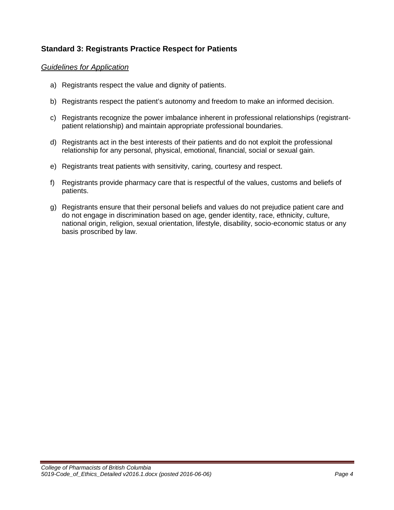## **Standard 3: Registrants Practice Respect for Patients**

- a) Registrants respect the value and dignity of patients.
- b) Registrants respect the patient's autonomy and freedom to make an informed decision.
- c) Registrants recognize the power imbalance inherent in professional relationships (registrantpatient relationship) and maintain appropriate professional boundaries.
- d) Registrants act in the best interests of their patients and do not exploit the professional relationship for any personal, physical, emotional, financial, social or sexual gain.
- e) Registrants treat patients with sensitivity, caring, courtesy and respect.
- f) Registrants provide pharmacy care that is respectful of the values, customs and beliefs of patients.
- g) Registrants ensure that their personal beliefs and values do not prejudice patient care and do not engage in discrimination based on age, gender identity, race, ethnicity, culture, national origin, religion, sexual orientation, lifestyle, disability, socio-economic status or any basis proscribed by law.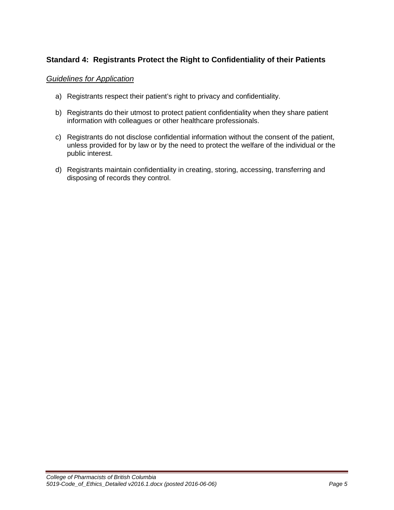## **Standard 4: Registrants Protect the Right to Confidentiality of their Patients**

- a) Registrants respect their patient's right to privacy and confidentiality.
- b) Registrants do their utmost to protect patient confidentiality when they share patient information with colleagues or other healthcare professionals.
- c) Registrants do not disclose confidential information without the consent of the patient, unless provided for by law or by the need to protect the welfare of the individual or the public interest.
- d) Registrants maintain confidentiality in creating, storing, accessing, transferring and disposing of records they control.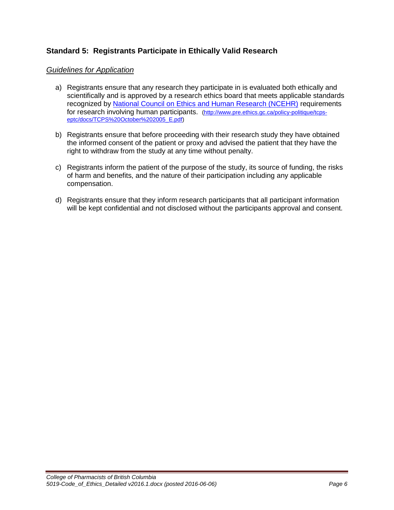## **Standard 5: Registrants Participate in Ethically Valid Research**

- a) Registrants ensure that any research they participate in is evaluated both ethically and scientifically and is approved by a research ethics board that meets applicable standards recognized by [National Council on Ethics and Human Research \(NCEHR\)](http://www.pre.ethics.gc.ca/policy-politique/tcps-eptc/docs/TCPS%20October%202005_E.pdf) requirements for research involving human participants. [\(http://www.pre.ethics.gc.ca/policy-politique/tcps](http://www.pre.ethics.gc.ca/policy-politique/tcps-eptc/docs/TCPS%20October%202005_E.pdf)[eptc/docs/TCPS%20October%202005\\_E.pdf\)](http://www.pre.ethics.gc.ca/policy-politique/tcps-eptc/docs/TCPS%20October%202005_E.pdf)
- b) Registrants ensure that before proceeding with their research study they have obtained the informed consent of the patient or proxy and advised the patient that they have the right to withdraw from the study at any time without penalty.
- c) Registrants inform the patient of the purpose of the study, its source of funding, the risks of harm and benefits, and the nature of their participation including any applicable compensation.
- d) Registrants ensure that they inform research participants that all participant information will be kept confidential and not disclosed without the participants approval and consent.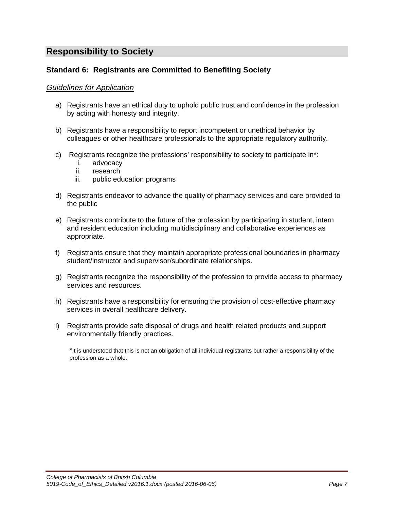# **Responsibility to Society**

## **Standard 6: Registrants are Committed to Benefiting Society**

#### *Guidelines for Application*

- a) Registrants have an ethical duty to uphold public trust and confidence in the profession by acting with honesty and integrity.
- b) Registrants have a responsibility to report incompetent or unethical behavior by colleagues or other healthcare professionals to the appropriate regulatory authority.
- c) Registrants recognize the professions' responsibility to society to participate in\*:
	- i. advocacy
	- ii. research
	- iii. public education programs
- d) Registrants endeavor to advance the quality of pharmacy services and care provided to the public
- e) Registrants contribute to the future of the profession by participating in student, intern and resident education including multidisciplinary and collaborative experiences as appropriate.
- f) Registrants ensure that they maintain appropriate professional boundaries in pharmacy student/instructor and supervisor/subordinate relationships.
- g) Registrants recognize the responsibility of the profession to provide access to pharmacy services and resources.
- h) Registrants have a responsibility for ensuring the provision of cost-effective pharmacy services in overall healthcare delivery.
- i) Registrants provide safe disposal of drugs and health related products and support environmentally friendly practices.

\*It is understood that this is not an obligation of all individual registrants but rather a responsibility of the profession as a whole.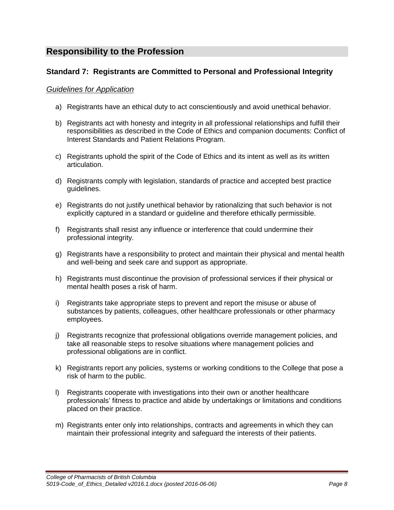# **Responsibility to the Profession**

## **Standard 7: Registrants are Committed to Personal and Professional Integrity**

- a) Registrants have an ethical duty to act conscientiously and avoid unethical behavior.
- b) Registrants act with honesty and integrity in all professional relationships and fulfill their responsibilities as described in the Code of Ethics and companion documents: Conflict of Interest Standards and Patient Relations Program.
- c) Registrants uphold the spirit of the Code of Ethics and its intent as well as its written articulation.
- d) Registrants comply with legislation, standards of practice and accepted best practice guidelines.
- e) Registrants do not justify unethical behavior by rationalizing that such behavior is not explicitly captured in a standard or guideline and therefore ethically permissible.
- f) Registrants shall resist any influence or interference that could undermine their professional integrity.
- g) Registrants have a responsibility to protect and maintain their physical and mental health and well-being and seek care and support as appropriate.
- h) Registrants must discontinue the provision of professional services if their physical or mental health poses a risk of harm.
- i) Registrants take appropriate steps to prevent and report the misuse or abuse of substances by patients, colleagues, other healthcare professionals or other pharmacy employees.
- j) Registrants recognize that professional obligations override management policies, and take all reasonable steps to resolve situations where management policies and professional obligations are in conflict.
- k) Registrants report any policies, systems or working conditions to the College that pose a risk of harm to the public.
- l) Registrants cooperate with investigations into their own or another healthcare professionals' fitness to practice and abide by undertakings or limitations and conditions placed on their practice.
- m) Registrants enter only into relationships, contracts and agreements in which they can maintain their professional integrity and safeguard the interests of their patients.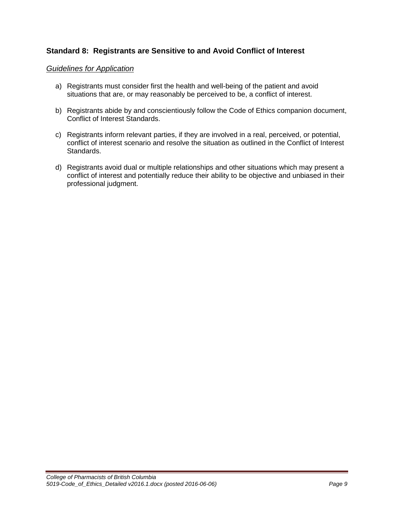## **Standard 8: Registrants are Sensitive to and Avoid Conflict of Interest**

- a) Registrants must consider first the health and well-being of the patient and avoid situations that are, or may reasonably be perceived to be, a conflict of interest.
- b) Registrants abide by and conscientiously follow the Code of Ethics companion document, Conflict of Interest Standards.
- c) Registrants inform relevant parties, if they are involved in a real, perceived, or potential, conflict of interest scenario and resolve the situation as outlined in the Conflict of Interest Standards.
- d) Registrants avoid dual or multiple relationships and other situations which may present a conflict of interest and potentially reduce their ability to be objective and unbiased in their professional judgment.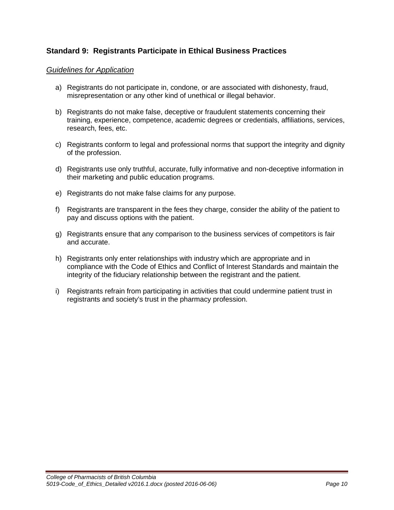## **Standard 9: Registrants Participate in Ethical Business Practices**

- a) Registrants do not participate in, condone, or are associated with dishonesty, fraud, misrepresentation or any other kind of unethical or illegal behavior.
- b) Registrants do not make false, deceptive or fraudulent statements concerning their training, experience, competence, academic degrees or credentials, affiliations, services, research, fees, etc.
- c) Registrants conform to legal and professional norms that support the integrity and dignity of the profession.
- d) Registrants use only truthful, accurate, fully informative and non-deceptive information in their marketing and public education programs.
- e) Registrants do not make false claims for any purpose.
- f) Registrants are transparent in the fees they charge, consider the ability of the patient to pay and discuss options with the patient.
- g) Registrants ensure that any comparison to the business services of competitors is fair and accurate.
- h) Registrants only enter relationships with industry which are appropriate and in compliance with the Code of Ethics and Conflict of Interest Standards and maintain the integrity of the fiduciary relationship between the registrant and the patient.
- i) Registrants refrain from participating in activities that could undermine patient trust in registrants and society's trust in the pharmacy profession.